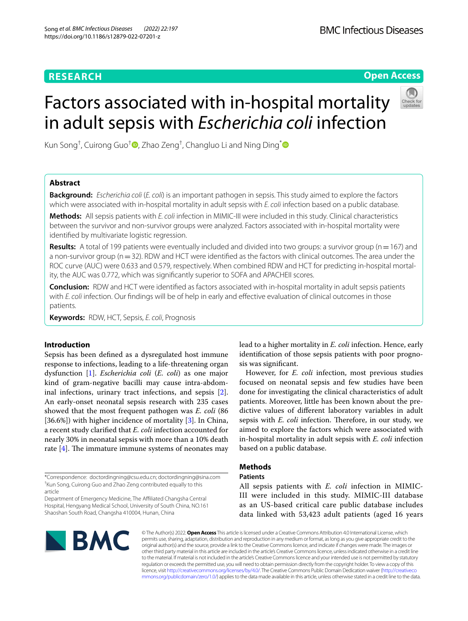# **RESEARCH**

**Open Access**

# Factors associated with in-hospital mortality in adult sepsis with *Escherichia coli* infection

Kun Song $^\dagger$ [,](http://orcid.org/0000-0003-4629-1715) Cuirong Guo $^\dagger$ (D, Zhao Zeng $^\dagger$ , Changluo Li and Ning Ding $^*$  $^*$ 

# **Abstract**

**Background:** *Escherichia coli* (*E. coli*) is an important pathogen in sepsis. This study aimed to explore the factors which were associated with in-hospital mortality in adult sepsis with *E. coli* infection based on a public database.

**Methods:** All sepsis patients with *E. coli* infection in MIMIC-III were included in this study. Clinical characteristics between the survivor and non-survivor groups were analyzed. Factors associated with in-hospital mortality were identifed by multivariate logistic regression.

**Results:** A total of 199 patients were eventually included and divided into two groups: a survivor group (n = 167) and a non-survivor group ( $n=32$ ). RDW and HCT were identified as the factors with clinical outcomes. The area under the ROC curve (AUC) were 0.633 and 0.579, respectively. When combined RDW and HCT for predicting in-hospital mortality, the AUC was 0.772, which was signifcantly superior to SOFA and APACHEII scores.

**Conclusion:** RDW and HCT were identifed as factors associated with in-hospital mortality in adult sepsis patients with *E. coli* infection. Our fndings will be of help in early and efective evaluation of clinical outcomes in those patients.

**Keywords:** RDW, HCT, Sepsis, *E. coli*, Prognosis

## **Introduction**

Sepsis has been defned as a dysregulated host immune response to infections, leading to a life-threatening organ dysfunction [[1\]](#page-6-0). *Escherichia coli* (*E. coli*) as one major kind of gram-negative bacilli may cause intra-abdominal infections, urinary tract infections, and sepsis [\[2](#page-6-1)]. An early-onset neonatal sepsis research with 235 cases showed that the most frequent pathogen was *E. coli* (86 [36.6%]) with higher incidence of mortality [[3\]](#page-6-2). In China, a recent study clarifed that *E. coli* infection accounted for nearly 30% in neonatal sepsis with more than a 10% death rate  $[4]$  $[4]$ . The immature immune systems of neonates may

\*Correspondence: doctordingning@csu.edu.cn; doctordingning@sina.com † Kun Song, Cuirong Guo and Zhao Zeng contributed equally to this article

Department of Emergency Medicine, The Afliated Changsha Central Hospital, Hengyang Medical School, University of South China, NO.161 Shaoshan South Road, Changsha 410004, Hunan, China

lead to a higher mortality in *E. coli* infection. Hence, early identifcation of those sepsis patients with poor prognosis was signifcant.

However, for *E. coli* infection, most previous studies focused on neonatal sepsis and few studies have been done for investigating the clinical characteristics of adult patients. Moreover, little has been known about the predictive values of diferent laboratory variables in adult sepsis with *E. coli* infection. Therefore, in our study, we aimed to explore the factors which were associated with in-hospital mortality in adult sepsis with *E. coli* infection based on a public database.

## **Methods**

## **Patients**

All sepsis patients with *E. coli* infection in MIMIC-III were included in this study. MIMIC-III database as an US-based critical care public database includes data linked with 53,423 adult patients (aged 16 years



© The Author(s) 2022. **Open Access** This article is licensed under a Creative Commons Attribution 4.0 International License, which permits use, sharing, adaptation, distribution and reproduction in any medium or format, as long as you give appropriate credit to the original author(s) and the source, provide a link to the Creative Commons licence, and indicate if changes were made. The images or other third party material in this article are included in the article's Creative Commons licence, unless indicated otherwise in a credit line to the material. If material is not included in the article's Creative Commons licence and your intended use is not permitted by statutory regulation or exceeds the permitted use, you will need to obtain permission directly from the copyright holder. To view a copy of this licence, visit [http://creativecommons.org/licenses/by/4.0/.](http://creativecommons.org/licenses/by/4.0/) The Creative Commons Public Domain Dedication waiver ([http://creativeco](http://creativecommons.org/publicdomain/zero/1.0/) [mmons.org/publicdomain/zero/1.0/](http://creativecommons.org/publicdomain/zero/1.0/)) applies to the data made available in this article, unless otherwise stated in a credit line to the data.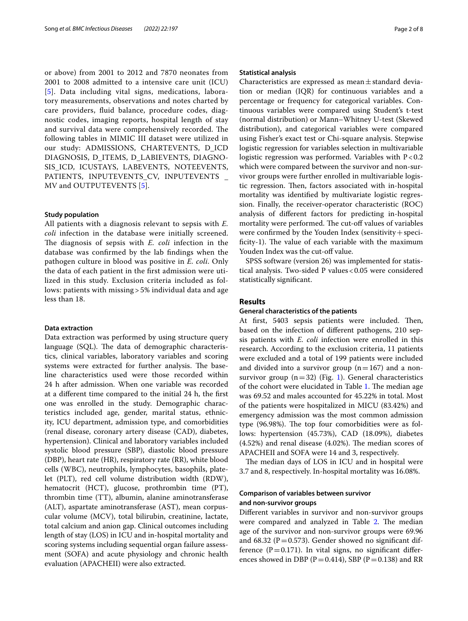or above) from 2001 to 2012 and 7870 neonates from 2001 to 2008 admitted to a intensive care unit (ICU) [[5](#page-7-1)]. Data including vital signs, medications, laboratory measurements, observations and notes charted by care providers, fuid balance, procedure codes, diagnostic codes, imaging reports, hospital length of stay and survival data were comprehensively recorded. The following tables in MIMIC III dataset were utilized in our study: ADMISSIONS, CHARTEVENTS, D\_ICD DIAGNOSIS, D\_ITEMS, D\_LABIEVENTS, DIAGNO-SIS\_ICD, ICUSTAYS, LABEVENTS, NOTEEVENTS, PATIENTS, INPUTEVENTS\_CV, INPUTEVENTS \_ MV and OUTPUTEVENTS [[5\]](#page-7-1).

## **Study population**

All patients with a diagnosis relevant to sepsis with *E. coli* infection in the database were initially screened. The diagnosis of sepsis with *E. coli* infection in the database was confrmed by the lab fndings when the pathogen culture in blood was positive in *E. coli*. Only the data of each patient in the frst admission were utilized in this study. Exclusion criteria included as follows: patients with missing > 5% individual data and age less than 18.

## **Data extraction**

Data extraction was performed by using structure query language (SQL). The data of demographic characteristics, clinical variables, laboratory variables and scoring systems were extracted for further analysis. The baseline characteristics used were those recorded within 24 h after admission. When one variable was recorded at a diferent time compared to the initial 24 h, the frst one was enrolled in the study. Demographic characteristics included age, gender, marital status, ethnicity, ICU department, admission type, and comorbidities (renal disease, coronary artery disease (CAD), diabetes, hypertension). Clinical and laboratory variables included systolic blood pressure (SBP), diastolic blood pressure (DBP), heart rate (HR), respiratory rate (RR), white blood cells (WBC), neutrophils, lymphocytes, basophils, platelet (PLT), red cell volume distribution width (RDW), hematocrit (HCT), glucose, prothrombin time (PT), thrombin time (TT), albumin, alanine aminotransferase (ALT), aspartate aminotransferase (AST), mean corpuscular volume (MCV), total bilirubin, creatinine, lactate, total calcium and anion gap. Clinical outcomes including length of stay (LOS) in ICU and in-hospital mortality and scoring systems including sequential organ failure assessment (SOFA) and acute physiology and chronic health evaluation (APACHEII) were also extracted.

#### **Statistical analysis**

Characteristics are expressed as mean $\pm$ standard deviation or median (IQR) for continuous variables and a percentage or frequency for categorical variables. Continuous variables were compared using Student's t-test (normal distribution) or Mann–Whitney U-test (Skewed distribution), and categorical variables were compared using Fisher's exact test or Chi-square analysis. Stepwise logistic regression for variables selection in multivariable logistic regression was performed. Variables with  $P < 0.2$ which were compared between the survivor and non-survivor groups were further enrolled in multivariable logistic regression. Then, factors associated with in-hospital mortality was identifed by multivariate logistic regression. Finally, the receiver-operator characteristic (ROC) analysis of diferent factors for predicting in-hospital mortality were performed. The cut-off values of variables were confirmed by the Youden Index (sensitivity + specificity-1). The value of each variable with the maximum Youden Index was the cut-off value.

SPSS software (version 26) was implemented for statistical analysis. Two-sided P values<0.05 were considered statistically signifcant.

#### **Results**

## **General characteristics of the patients**

At first, 5403 sepsis patients were included. Then, based on the infection of diferent pathogens, 210 sepsis patients with *E. coli* infection were enrolled in this research. According to the exclusion criteria, 11 patients were excluded and a total of 199 patients were included and divided into a survivor group  $(n=167)$  and a nonsurvivor group  $(n=32)$  (Fig. [1\)](#page-2-0). General characteristics of the cohort were elucidated in Table [1.](#page-3-0) The median age was 69.52 and males accounted for 45.22% in total. Most of the patients were hospitalized in MICU (83.42%) and emergency admission was the most common admission type (96.98%). The top four comorbidities were as follows: hypertension (45.73%), CAD (18.09%), diabetes  $(4.52%)$  and renal disease  $(4.02%)$ . The median scores of APACHEII and SOFA were 14 and 3, respectively.

The median days of LOS in ICU and in hospital were 3.7 and 8, respectively. In-hospital mortality was 16.08%.

## **Comparison of variables between survivor and non‑survivor groups**

Diferent variables in survivor and non-survivor groups were compared and analyzed in Table [2.](#page-4-0) The median age of the survivor and non-survivor groups were 69.96 and 68.32 ( $P = 0.573$ ). Gender showed no significant difference ( $P = 0.171$ ). In vital signs, no significant differences showed in DBP ( $P = 0.414$ ), SBP ( $P = 0.138$ ) and RR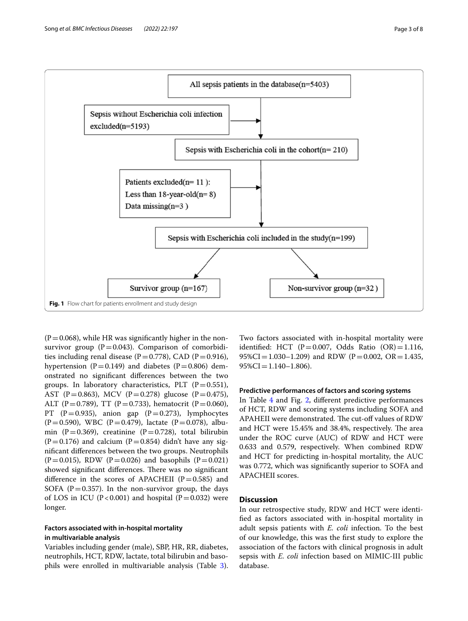

<span id="page-2-0"></span> $(P=0.068)$ , while HR was significantly higher in the nonsurvivor group  $(P=0.043)$ . Comparison of comorbidities including renal disease (P=0.778), CAD (P=0.916), hypertension (P=0.149) and diabetes (P=0.806) demonstrated no signifcant diferences between the two groups. In laboratory characteristics, PLT  $(P=0.551)$ , AST (P=0.863), MCV (P=0.278) glucose (P=0.475), ALT (P=0.789), TT (P=0.733), hematocrit (P=0.060), PT  $(P=0.935)$ , anion gap  $(P=0.273)$ , lymphocytes (P=0.590), WBC (P=0.479), lactate (P=0.078), albumin (P=0.369), creatinine (P=0.728), total bilirubin  $(P=0.176)$  and calcium  $(P=0.854)$  didn't have any signifcant diferences between the two groups. Neutrophils  $(P=0.015)$ , RDW  $(P=0.026)$  and basophils  $(P=0.021)$ showed significant differences. There was no significant difference in the scores of APACHEII ( $P=0.585$ ) and SOFA ( $P=0.357$ ). In the non-survivor group, the days of LOS in ICU ( $P < 0.001$ ) and hospital ( $P = 0.032$ ) were longer.

## **Factors associated with in‑hospital mortality in multivariable analysis**

Variables including gender (male), SBP, HR, RR, diabetes, neutrophils, HCT, RDW, lactate, total bilirubin and basophils were enrolled in multivariable analysis (Table [3](#page-5-0)). Two factors associated with in-hospital mortality were identified: HCT (P=0.007, Odds Ratio  $(OR) = 1.116$ , 95%CI=1.030–1.209) and RDW (P=0.002, OR=1.435,  $95\%CI = 1.140 - 1.806$ .

## **Predictive performances of factors and scoring systems**

In Table [4](#page-5-1) and Fig. [2,](#page-6-3) diferent predictive performances of HCT, RDW and scoring systems including SOFA and APAHEII were demonstrated. The cut-off values of RDW and HCT were 15.45% and 38.4%, respectively. The area under the ROC curve (AUC) of RDW and HCT were 0.633 and 0.579, respectively. When combined RDW and HCT for predicting in-hospital mortality, the AUC was 0.772, which was signifcantly superior to SOFA and APACHEII scores.

## **Discussion**

In our retrospective study, RDW and HCT were identifed as factors associated with in-hospital mortality in adult sepsis patients with *E. coli* infection. To the best of our knowledge, this was the frst study to explore the association of the factors with clinical prognosis in adult sepsis with *E. coli* infection based on MIMIC-III public database.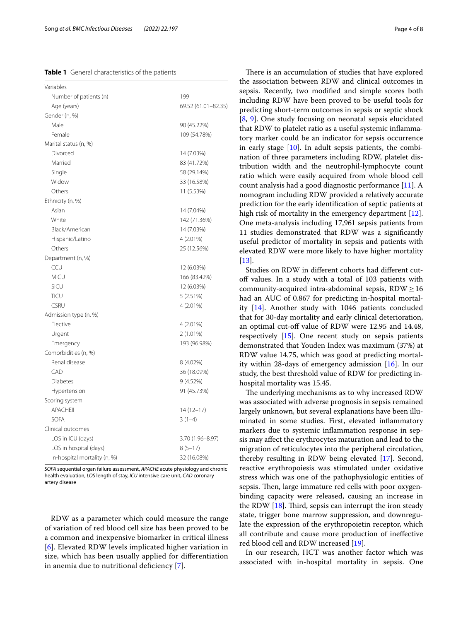<span id="page-3-0"></span>**Table 1** General characteristics of the patients

| Variables                    |                     |
|------------------------------|---------------------|
| Number of patients (n)       | 199                 |
| Age (years)                  | 69.52 (61.01-82.35) |
| Gender (n, %)                |                     |
| Male                         | 90 (45.22%)         |
| Female                       | 109 (54.78%)        |
| Marital status (n, %)        |                     |
| Divorced                     | 14 (7.03%)          |
| Married                      | 83 (41.72%)         |
| Single                       | 58 (29.14%)         |
| Widow                        | 33 (16.58%)         |
| Others                       | 11 (5.53%)          |
| Ethnicity (n, %)             |                     |
| Asian                        | 14 (7.04%)          |
| White                        | 142 (71.36%)        |
| Black/American               | 14 (7.03%)          |
| Hispanic/Latino              | 4 (2.01%)           |
| Others                       | 25 (12.56%)         |
| Department (n, %)            |                     |
| CCU                          | 12 (6.03%)          |
| <b>MICU</b>                  | 166 (83.42%)        |
| SICU                         | 12 (6.03%)          |
| TICU                         | 5(2.51%)            |
| <b>CSRU</b>                  | 4 (2.01%)           |
| Admission type (n, %)        |                     |
| Elective                     | 4 (2.01%)           |
| Urgent                       | 2 (1.01%)           |
| Emergency                    | 193 (96.98%)        |
| Comorbidities (n, %)         |                     |
| Renal disease                | 8 (4.02%)           |
| CAD                          | 36 (18.09%)         |
| <b>Diabetes</b>              | 9 (4.52%)           |
| Hypertension                 | 91 (45.73%)         |
| Scoring system               |                     |
| <b>APACHEII</b>              | $14(12-17)$         |
| SOFA                         | $3(1-4)$            |
| Clinical outcomes            |                     |
| LOS in ICU (days)            | 3.70 (1.96-8.97)    |
| LOS in hospital (days)       | $8(5-17)$           |
| In-hospital mortality (n, %) | 32 (16.08%)         |

*SOFA* sequential organ failure assessment, *APACHE* acute physiology and chronic health evaluation, *LOS* length of stay, *ICU* intensive care unit, *CAD* coronary artery disease

RDW as a parameter which could measure the range of variation of red blood cell size has been proved to be a common and inexpensive biomarker in critical illness [[6](#page-7-2)]. Elevated RDW levels implicated higher variation in size, which has been usually applied for diferentiation in anemia due to nutritional deficiency [[7\]](#page-7-3).

There is an accumulation of studies that have explored the association between RDW and clinical outcomes in sepsis. Recently, two modifed and simple scores both including RDW have been proved to be useful tools for predicting short-term outcomes in sepsis or septic shock [[8,](#page-7-4) [9](#page-7-5)]. One study focusing on neonatal sepsis elucidated that RDW to platelet ratio as a useful systemic infammatory marker could be an indicator for sepsis occurrence in early stage [\[10](#page-7-6)]. In adult sepsis patients, the combination of three parameters including RDW, platelet distribution width and the neutrophil-lymphocyte count ratio which were easily acquired from whole blood cell count analysis had a good diagnostic performance [\[11\]](#page-7-7). A nomogram including RDW provided a relatively accurate prediction for the early identifcation of septic patients at high risk of mortality in the emergency department [\[12](#page-7-8)]. One meta-analysis including 17,961 sepsis patients from 11 studies demonstrated that RDW was a signifcantly useful predictor of mortality in sepsis and patients with elevated RDW were more likely to have higher mortality  $[13]$  $[13]$ .

Studies on RDW in diferent cohorts had diferent cutoff values. In a study with a total of 103 patients with community-acquired intra-abdominal sepsis,  $RDW \ge 16$ had an AUC of 0.867 for predicting in-hospital mortality [\[14](#page-7-10)]. Another study with 1046 patients concluded that for 30-day mortality and early clinical deterioration, an optimal cut-off value of RDW were 12.95 and 14.48, respectively [\[15](#page-7-11)]. One recent study on sepsis patients demonstrated that Youden Index was maximum (37%) at RDW value 14.75, which was good at predicting mortality within 28-days of emergency admission [[16\]](#page-7-12). In our study, the best threshold value of RDW for predicting inhospital mortality was 15.45.

The underlying mechanisms as to why increased RDW was associated with adverse prognosis in sepsis remained largely unknown, but several explanations have been illuminated in some studies. First, elevated infammatory markers due to systemic infammation response in sepsis may afect the erythrocytes maturation and lead to the migration of reticulocytes into the peripheral circulation, thereby resulting in RDW being elevated [[17\]](#page-7-13). Second, reactive erythropoiesis was stimulated under oxidative stress which was one of the pathophysiologic entities of sepsis. Then, large immature red cells with poor oxygenbinding capacity were released, causing an increase in the RDW  $[18]$  $[18]$ . Third, sepsis can interrupt the iron steady state, trigger bone marrow suppression, and downregulate the expression of the erythropoietin receptor, which all contribute and cause more production of inefective red blood cell and RDW increased [\[19](#page-7-15)].

In our research, HCT was another factor which was associated with in-hospital mortality in sepsis. One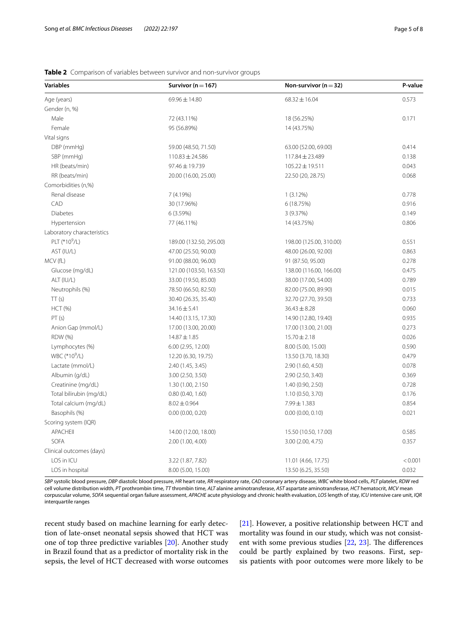| <b>Variables</b>                          | Survivor ( $n = 167$ )  | Non-survivor ( $n = 32$ ) | P-value |  |
|-------------------------------------------|-------------------------|---------------------------|---------|--|
| Age (years)                               | $69.96 \pm 14.80$       | $68.32 \pm 16.04$         | 0.573   |  |
| Gender (n, %)                             |                         |                           |         |  |
| Male                                      | 72 (43.11%)             | 18 (56.25%)               | 0.171   |  |
| Female                                    | 95 (56.89%)             | 14 (43.75%)               |         |  |
| Vital signs                               |                         |                           |         |  |
| DBP (mmHg)                                | 59.00 (48.50, 71.50)    | 63.00 (52.00, 69.00)      | 0.414   |  |
| SBP (mmHg)                                | $110.83 \pm 24.586$     | 117.84 ± 23.489           | 0.138   |  |
| HR (beats/min)                            | 97.46 ± 19.739          | $105.22 \pm 19.511$       | 0.043   |  |
| RR (beats/min)                            | 20.00 (16.00, 25.00)    | 22.50 (20, 28.75)         | 0.068   |  |
| Comorbidities (n,%)                       |                         |                           |         |  |
| Renal disease                             | 7 (4.19%)               | $1(3.12\%)$               | 0.778   |  |
| CAD                                       | 30 (17.96%)             | 6(18.75%)                 | 0.916   |  |
| Diabetes                                  | 6(3.59%)                | 3 (9.37%)                 | 0.149   |  |
| Hypertension                              | 77 (46.11%)             | 14 (43.75%)               | 0.806   |  |
| Laboratory characteristics                |                         |                           |         |  |
| PLT (*10 $^9$ /L)                         | 189.00 (132.50, 295.00) | 198.00 (125.00, 310.00)   | 0.551   |  |
| AST (IU/L)                                | 47.00 (25.50, 90.00)    | 48.00 (26.00, 92.00)      | 0.863   |  |
| MCV (fL)                                  | 91.00 (88.00, 96.00)    | 91 (87.50, 95.00)         | 0.278   |  |
| Glucose (mg/dL)                           | 121.00 (103.50, 163.50) | 138.00 (116.00, 166.00)   | 0.475   |  |
| ALT (IU/L)                                | 33.00 (19.50, 85.00)    | 38.00 (17.00, 54.00)      | 0.789   |  |
| Neutrophils (%)                           | 78.50 (66.50, 82.50)    | 82.00 (75.00, 89.90)      | 0.015   |  |
| TT(s)                                     | 30.40 (26.35, 35.40)    | 32.70 (27.70, 39.50)      | 0.733   |  |
| <b>HCT (%)</b>                            | $34.16 \pm 5.41$        | $36.43 \pm 8.28$          | 0.060   |  |
| PT(s)                                     | 14.40 (13.15, 17.30)    | 14.90 (12.80, 19.40)      | 0.935   |  |
| Anion Gap (mmol/L)                        | 17.00 (13.00, 20.00)    | 17.00 (13.00, 21.00)      | 0.273   |  |
| <b>RDW</b> (%)                            | $14.87 \pm 1.85$        | $15.70 \pm 2.18$          | 0.026   |  |
| Lymphocytes (%)                           | 6.00 (2.95, 12.00)      | 8.00 (5.00, 15.00)        | 0.590   |  |
| WBC (*10 <sup>9</sup> /L)                 | 12.20 (6.30, 19.75)     | 13.50 (3.70, 18.30)       | 0.479   |  |
| Lactate (mmol/L)                          | 2.40 (1.45, 3.45)       | 2.90 (1.60, 4.50)         | 0.078   |  |
| Albumin (g/dL)                            | 3.00 (2.50, 3.50)       | 2.90 (2.50, 3.40)         | 0.369   |  |
| Creatinine (mg/dL)                        | 1.30 (1.00, 2.150)      | 1.40 (0.90, 2.50)         | 0.728   |  |
| Total bilirubin (mg/dL)                   | 0.80(0.40, 1.60)        |                           | 0.176   |  |
| Total calcium (mg/dL)<br>$8.02 \pm 0.964$ |                         | 7.99±1.383                | 0.854   |  |
| Basophils (%)                             | 0.00(0.00, 0.20)        | 0.00(0.00, 0.10)          | 0.021   |  |
| Scoring system (IQR)                      |                         |                           |         |  |
| <b>APACHEII</b><br>14.00 (12.00, 18.00)   |                         | 15.50 (10.50, 17.00)      | 0.585   |  |
| SOFA<br>2.00 (1.00, 4.00)                 |                         | 3.00 (2.00, 4.75)         | 0.357   |  |
| Clinical outcomes (days)                  |                         |                           |         |  |
| LOS in ICU                                | 3.22 (1.87, 7.82)       | 11.01 (4.66, 17.75)       | < 0.001 |  |
| LOS in hospital                           | 8.00 (5.00, 15.00)      | 13.50 (6.25, 35.50)       | 0.032   |  |

## <span id="page-4-0"></span>**Table 2** Comparison of variables between survivor and non-survivor groups

*SBP* systolic blood pressure, *DBP* diastolic blood pressure, *HR* heart rate, *RR* respiratory rate, *CAD* coronary artery disease, *WBC* white blood cells, *PLT* platelet, *RDW* red cell volume distribution width, *PT* prothrombin time, *TT* thrombin time, *ALT* alanine aminotransferase, *AST* aspartate aminotransferase, *HCT* hematocrit, *MCV* mean corpuscular volume, *SOFA* sequential organ failure assessment, *APACHE* acute physiology and chronic health evaluation, *LOS* length of stay, *ICU* intensive care unit, *IQR* interquartile ranges

recent study based on machine learning for early detection of late-onset neonatal sepsis showed that HCT was one of top three predictive variables [[20\]](#page-7-16). Another study in Brazil found that as a predictor of mortality risk in the sepsis, the level of HCT decreased with worse outcomes [[21\]](#page-7-17). However, a positive relationship between HCT and mortality was found in our study, which was not consist-ent with some previous studies [\[22](#page-7-18), [23\]](#page-7-19). The differences could be partly explained by two reasons. First, sepsis patients with poor outcomes were more likely to be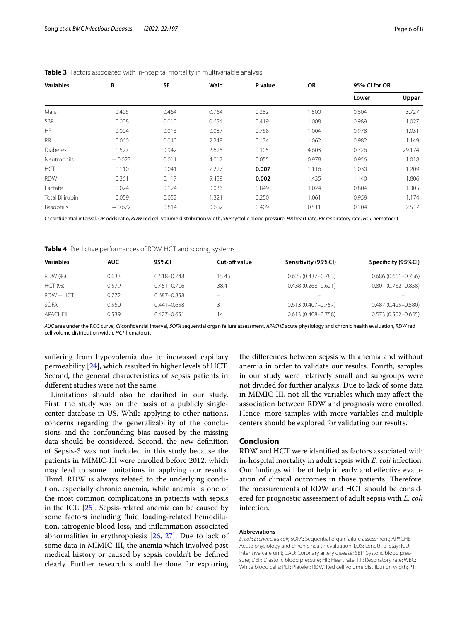| <b>Variables</b>       | B        | <b>SE</b> | Wald  | P value | <b>OR</b> | 95% CI for OR |        |
|------------------------|----------|-----------|-------|---------|-----------|---------------|--------|
|                        |          |           |       |         |           | Lower         | Upper  |
| Male                   | 0.406    | 0.464     | 0.764 | 0.382   | 1.500     | 0.604         | 3.727  |
| SBP                    | 0.008    | 0.010     | 0.654 | 0.419   | 1.008     | 0.989         | 1.027  |
| <b>HR</b>              | 0.004    | 0.013     | 0.087 | 0.768   | 1.004     | 0.978         | 1.031  |
| <b>RR</b>              | 0.060    | 0.040     | 2.249 | 0.134   | 1.062     | 0.982         | 1.149  |
| Diabetes               | 1.527    | 0.942     | 2.625 | 0.105   | 4.603     | 0.726         | 29.174 |
| Neutrophils            | $-0.023$ | 0.011     | 4.017 | 0.055   | 0.978     | 0.956         | 1.018  |
| <b>HCT</b>             | 0.110    | 0.041     | 7.227 | 0.007   | 1.116     | 1.030         | 1.209  |
| <b>RDW</b>             | 0.361    | 0.117     | 9.459 | 0.002   | 1.435     | 1.140         | 1.806  |
| Lactate                | 0.024    | 0.124     | 0.036 | 0.849   | 1.024     | 0.804         | 1.305  |
| <b>Total Bilirubin</b> | 0.059    | 0.052     | 1.321 | 0.250   | 1.061     | 0.959         | 1.174  |
| Basophils              | $-0.672$ | 0.814     | 0.682 | 0.409   | 0.511     | 0.104         | 2.517  |

<span id="page-5-0"></span>**Table 3** Factors associated with in-hospital mortality in multivariable analysis

*CI* confdential interval, *OR* odds ratio, *RDW* red cell volume distribution width, *SBP* systolic blood pressure, *HR* heart rate, *RR* respiratory rate, *HCT* hematocrit

<span id="page-5-1"></span>**Table 4** Predictive performances of RDW, HCT and scoring systems

| <b>Variables</b> | <b>AUC</b> | 95%CI           | Cut-off value            | Sensitivity (95%Cl)    | Specificity (95%Cl)    |
|------------------|------------|-----------------|--------------------------|------------------------|------------------------|
| <b>RDW</b> (%)   | 0.633      | $0.518 - 0.748$ | 15.45                    | $0.625(0.437 - 0.783)$ | $0.686(0.611 - 0.756)$ |
| HCT (%)          | 0.579      | $0.451 - 0.706$ | 38.4                     | $0.438(0.268 - 0.621)$ | $0.801(0.732 - 0.858)$ |
| $RDW + HCT$      | 0.772      | 0.687-0.858     | $\overline{\phantom{m}}$ | -                      |                        |
| <b>SOFA</b>      | 0.550      | $0.441 - 0.658$ |                          | $0.613(0.407 - 0.757)$ | $0.487(0.425 - 0.580)$ |
| <b>APACHEII</b>  | 0.539      | $0.427 - 0.651$ | 14                       | $0.613(0.408 - 0.758)$ | $0.573(0.502 - 0.655)$ |

*AUC* area under the ROC curve, *CI* confdential interval, *SOFA* sequential organ failure assessment, *APACHE* acute physiology and chronic health evaluation, *RDW* red cell volume distribution width, *HCT* hematocrit

suffering from hypovolemia due to increased capillary permeability [[24\]](#page-7-20), which resulted in higher levels of HCT. Second, the general characteristics of sepsis patients in diferent studies were not the same.

Limitations should also be clarifed in our study. First, the study was on the basis of a publicly singlecenter database in US. While applying to other nations, concerns regarding the generalizability of the conclusions and the confounding bias caused by the missing data should be considered. Second, the new defnition of Sepsis-3 was not included in this study because the patients in MIMIC-III were enrolled before 2012, which may lead to some limitations in applying our results. Third, RDW is always related to the underlying condition, especially chronic anemia, while anemia is one of the most common complications in patients with sepsis in the ICU [[25\]](#page-7-21). Sepsis-related anemia can be caused by some factors including fuid loading-related hemodilution, iatrogenic blood loss, and infammation-associated abnormalities in erythropoiesis [\[26,](#page-7-22) [27\]](#page-7-23). Due to lack of some data in MIMIC-III, the anemia which involved past medical history or caused by sepsis couldn't be defned clearly. Further research should be done for exploring

the diferences between sepsis with anemia and without anemia in order to validate our results. Fourth, samples in our study were relatively small and subgroups were not divided for further analysis. Due to lack of some data in MIMIC-III, not all the variables which may afect the association between RDW and prognosis were enrolled. Hence, more samples with more variables and multiple centers should be explored for validating our results.

## **Conclusion**

RDW and HCT were identifed as factors associated with in-hospital mortality in adult sepsis with *E. coli* infection. Our fndings will be of help in early and efective evaluation of clinical outcomes in those patients. Therefore, the measurements of RDW and HCT should be considered for prognostic assessment of adult sepsis with *E. coli* infection.

#### **Abbreviations**

*E. coli*: *Escherichia coli*; SOFA: Sequential organ failure assessment; APACHE: Acute physiology and chronic health evaluation; LOS: Length of stay; ICU: Intensive care unit; CAD: Coronary artery disease; SBP: Systolic blood pressure; DBP: Diastolic blood pressure; HR: Heart rate; RR: Respiratory rate; WBC: White blood cells; PLT: Platelet; RDW: Red cell volume distribution width; PT: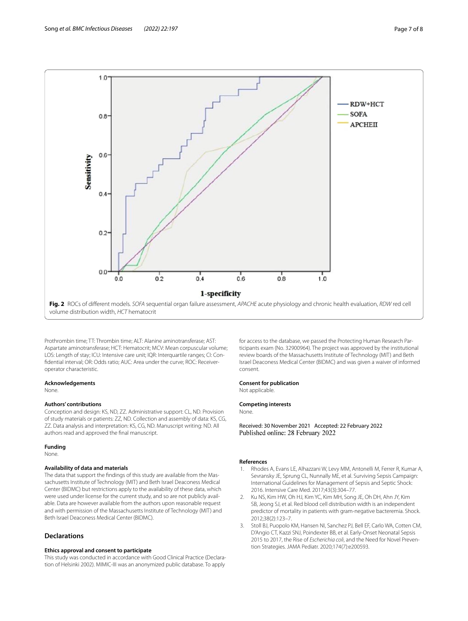

<span id="page-6-3"></span>Prothrombin time; TT: Thrombin time; ALT: Alanine aminotransferase; AST: Aspartate aminotransferase; HCT: Hematocrit; MCV: Mean corpuscular volume; LOS: Length of stay; ICU: Intensive care unit; IQR: Interquartile ranges; CI: Confdential interval; OR: Odds ratio; AUC: Area under the curve; ROC: Receiveroperator characteristic.

#### **Acknowledgements**

None.

#### **Authors' contributions**

Conception and design: KS, ND, ZZ. Administrative support: CL, ND. Provision of study materials or patients: ZZ, ND. Collection and assembly of data: KS, CG, ZZ. Data analysis and interpretation: KS, CG, ND. Manuscript writing: ND. All authors read and approved the fnal manuscript.

#### **Funding**

None.

#### **Availability of data and materials**

The data that support the fndings of this study are available from the Massachusetts Institute of Technology (MIT) and Beth Israel Deaconess Medical Center (BIDMC) but restrictions apply to the availability of these data, which were used under license for the current study, and so are not publicly available. Data are however available from the authors upon reasonable request and with permission of the Massachusetts Institute of Technology (MIT) and Beth Israel Deaconess Medical Center (BIDMC).

## **Declarations**

#### **Ethics approval and consent to participate**

This study was conducted in accordance with Good Clinical Practice (Declaration of Helsinki 2002). MIMIC-III was an anonymized public database. To apply

for access to the database, we passed the Protecting Human Research Participants exam (No. 32900964). The project was approved by the institutional review boards of the Massachusetts Institute of Technology (MIT) and Beth Israel Deaconess Medical Center (BIDMC) and was given a waiver of informed consent.

#### **Consent for publication**

Not applicable.

None.

#### **Competing interests**

Received: 30 November 2021 Accepted: 22 February 2022 Published online: 28 February 2022

#### **References**

- <span id="page-6-0"></span>1. Rhodes A, Evans LE, Alhazzani W, Levy MM, Antonelli M, Ferrer R, Kumar A, Sevransky JE, Sprung CL, Nunnally ME, et al. Surviving Sepsis Campaign: International Guidelines for Management of Sepsis and Septic Shock: 2016. Intensive Care Med. 2017;43(3):304–77.
- <span id="page-6-1"></span>2. Ku NS, Kim HW, Oh HJ, Kim YC, Kim MH, Song JE, Oh DH, Ahn JY, Kim SB, Jeong SJ, et al. Red blood cell distribution width is an independent predictor of mortality in patients with gram-negative bacteremia. Shock. 2012;38(2):123–7.
- <span id="page-6-2"></span>3. Stoll BJ, Puopolo KM, Hansen NI, Sanchez PJ, Bell EF, Carlo WA, Cotten CM, D'Angio CT, Kazzi SNJ, Poindexter BB, et al. Early-Onset Neonatal Sepsis 2015 to 2017, the Rise of *Escherichia coli*, and the Need for Novel Prevention Strategies. JAMA Pediatr. 2020;174(7):e200593.